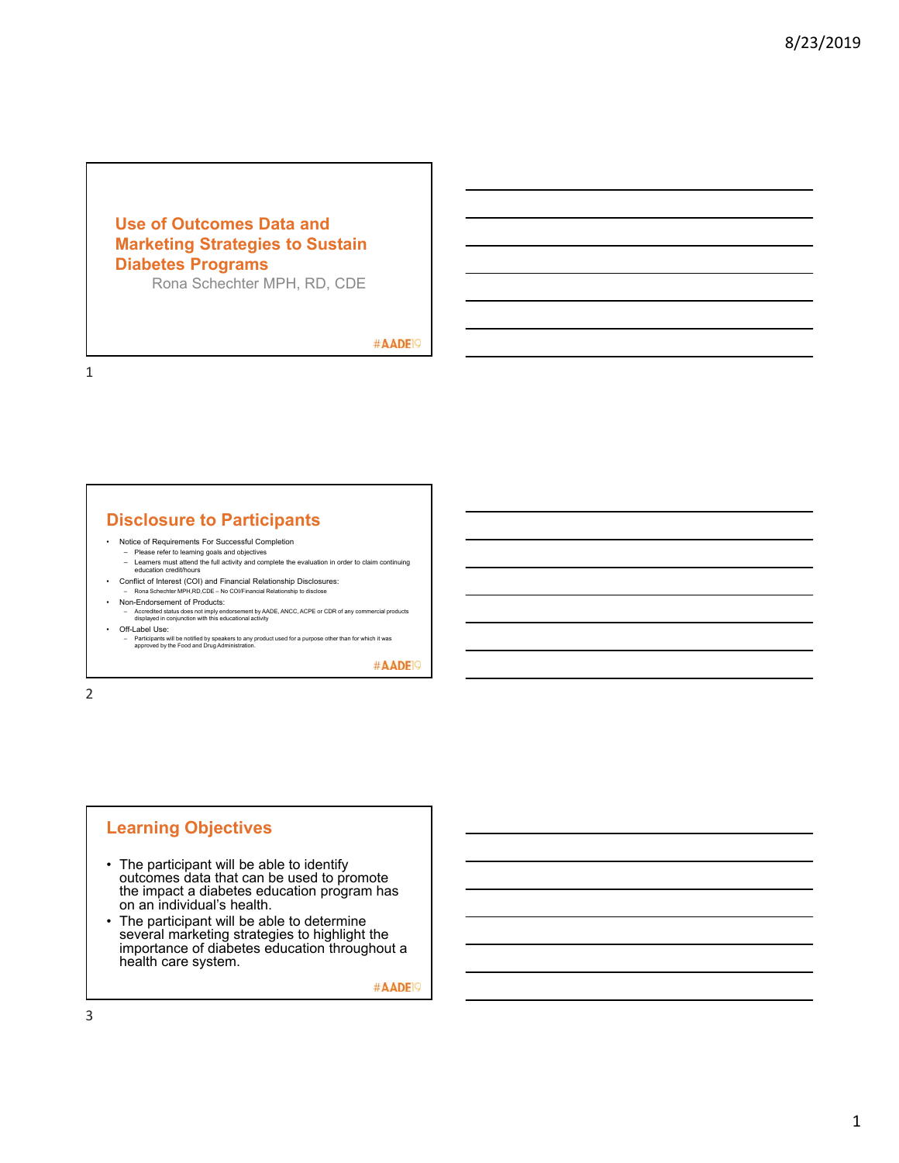## **Use of Outcomes Data and Marketing Strategies to Sustain Diabetes Programs**

Rona Schechter MPH, RD, CDE

#AADE<sup>19</sup>

1

## **Disclosure to Participants**

- Notice of Requirements For Successful Completion
	- Please refer to learning goals and objectives Learners must attend the full activity and complete the evaluation in order to claim continuing education credit/hours
- Conflict of Interest (COI) and Financial Relationship Disclosures:
- Rona Schechter MPH,RD,CDE No COI/Financial Relationship to disclose
- Non-Endorsement of Products:
- Accredited status does not imply endorsement by AADE, ANCC, ACPE or CDR of any commercial products displayed in conjunction with this educational activity • Off-Label Use:
- Participants will be notified by speakers to any product used for a purpose other than for which it was approved by the Food and Drug Administration.

#AADE<sup>1</sup>

2

## **Learning Objectives**

- The participant will be able to identify outcomes data that can be used to promote the impact a diabetes education program has on an individual's health.
- The participant will be able to determine several marketing strategies to highlight the importance of diabetes education throughout a health care system.

#AADE<sup>1</sup>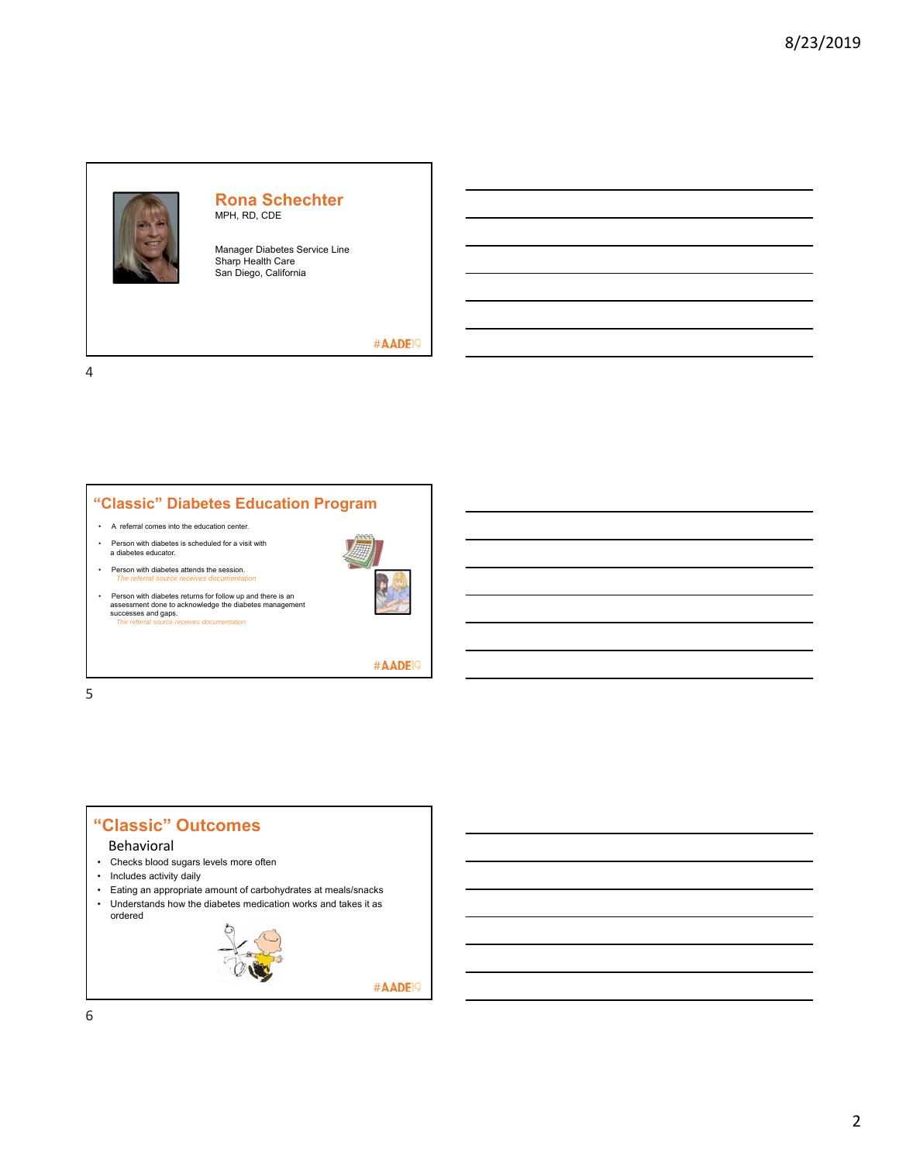

## **Rona Schechter** MPH, RD, CDE

Manager Diabetes Service Line Sharp Health Care San Diego, California

#AADE<sup>19</sup>

4



*The referral source receives de* 





#AADE<sup>19</sup>

5



#AADE<sup>19</sup>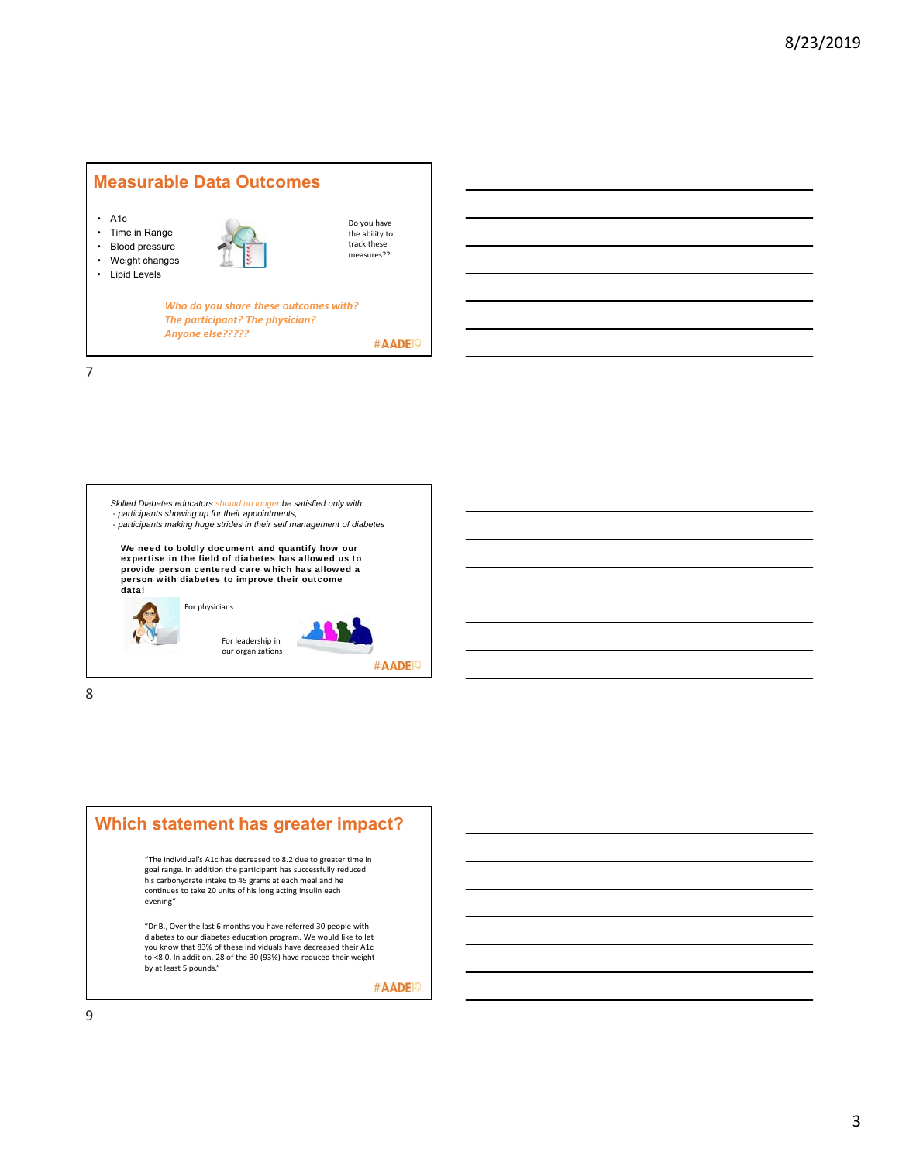

*Skilled Diabetes educators should no longer be satisfied only with - participants showing up for their appointments, - participants making huge strides in their self management of diabetes*  We need to boldly document and quantify how our expertise in the field of diabetes has allowed us to provide person centered care which has allowed a person with diabetes to improve their outcome data! For physicians For leadership in our organizations #AADE<sup>19</sup>

8



"Dr B., Over the last 6 months you have referred 30 people with diabetes to our diabetes education program. We would like to let you know that 83% of these individuals have decreased their A1c to <8.0. In addition, 28 of the 30 (93%) have reduced their weight by at least 5 pounds."

#AADE<sup>19</sup>

9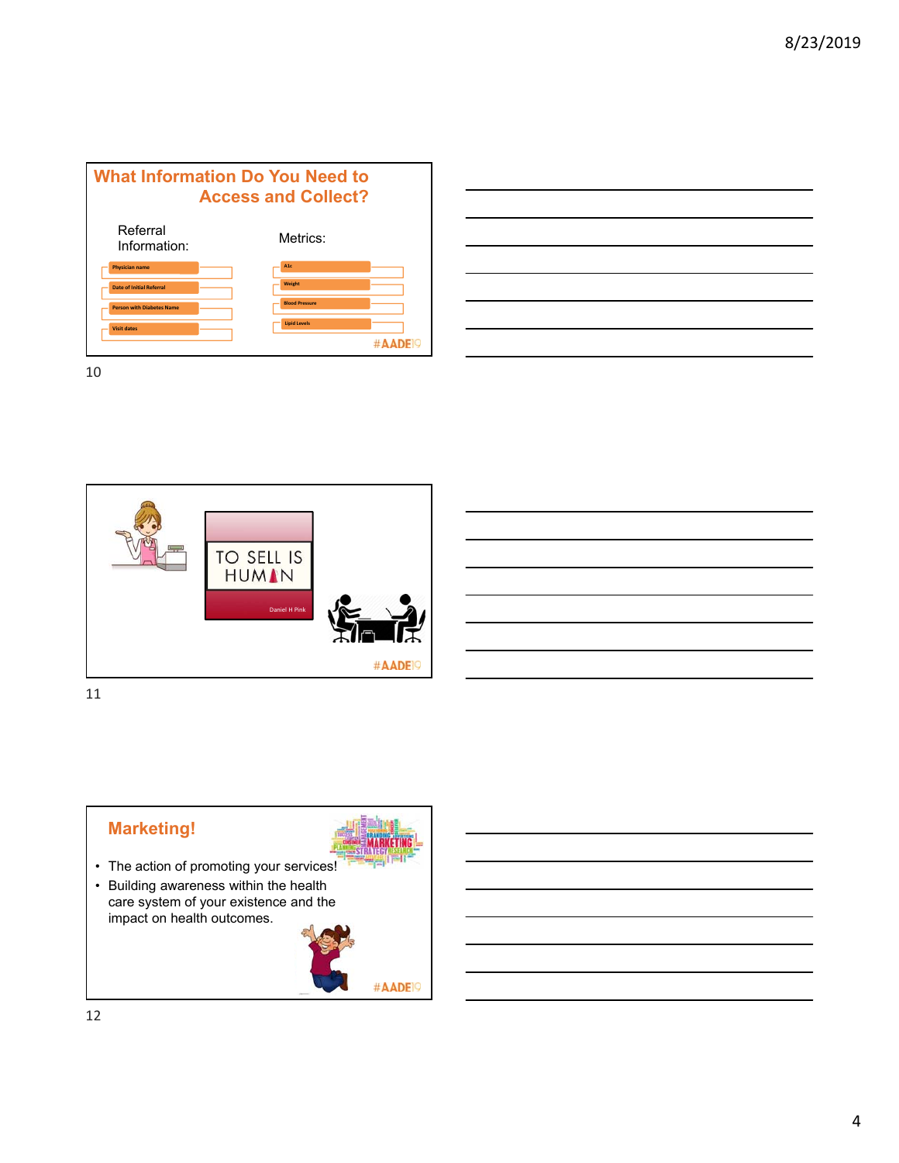



10



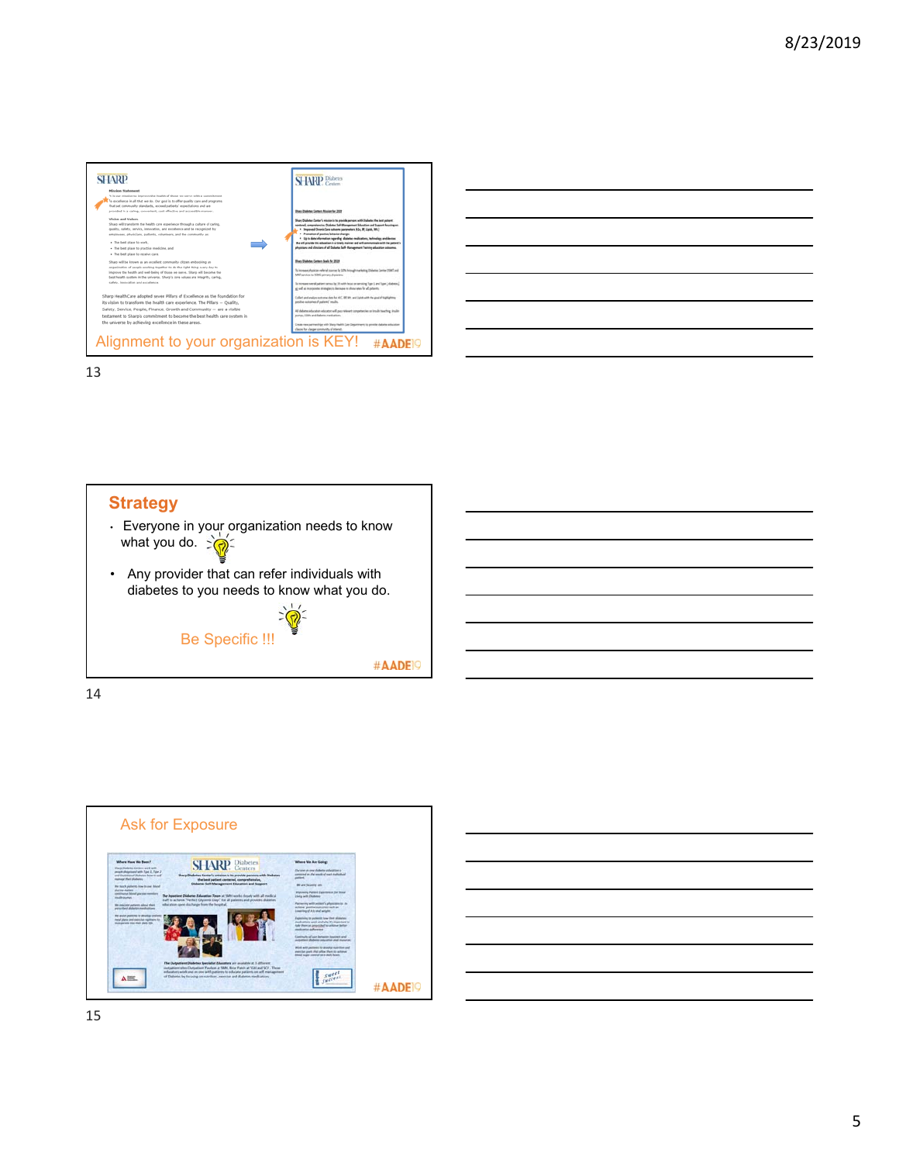

|                                                                                                                        | ______ |
|------------------------------------------------------------------------------------------------------------------------|--------|
| <u> Andreas Andreas Andreas Andreas Andreas Andreas Andreas Andreas Andreas Andreas Andreas Andreas Andreas Andr</u>   |        |
|                                                                                                                        | _____  |
|                                                                                                                        |        |
|                                                                                                                        | ___    |
|                                                                                                                        |        |
| <u> 1989 - Johann Stoff, deutscher Stoffen und der Stoffen und der Stoffen und der Stoffen und der Stoffen und der</u> |        |







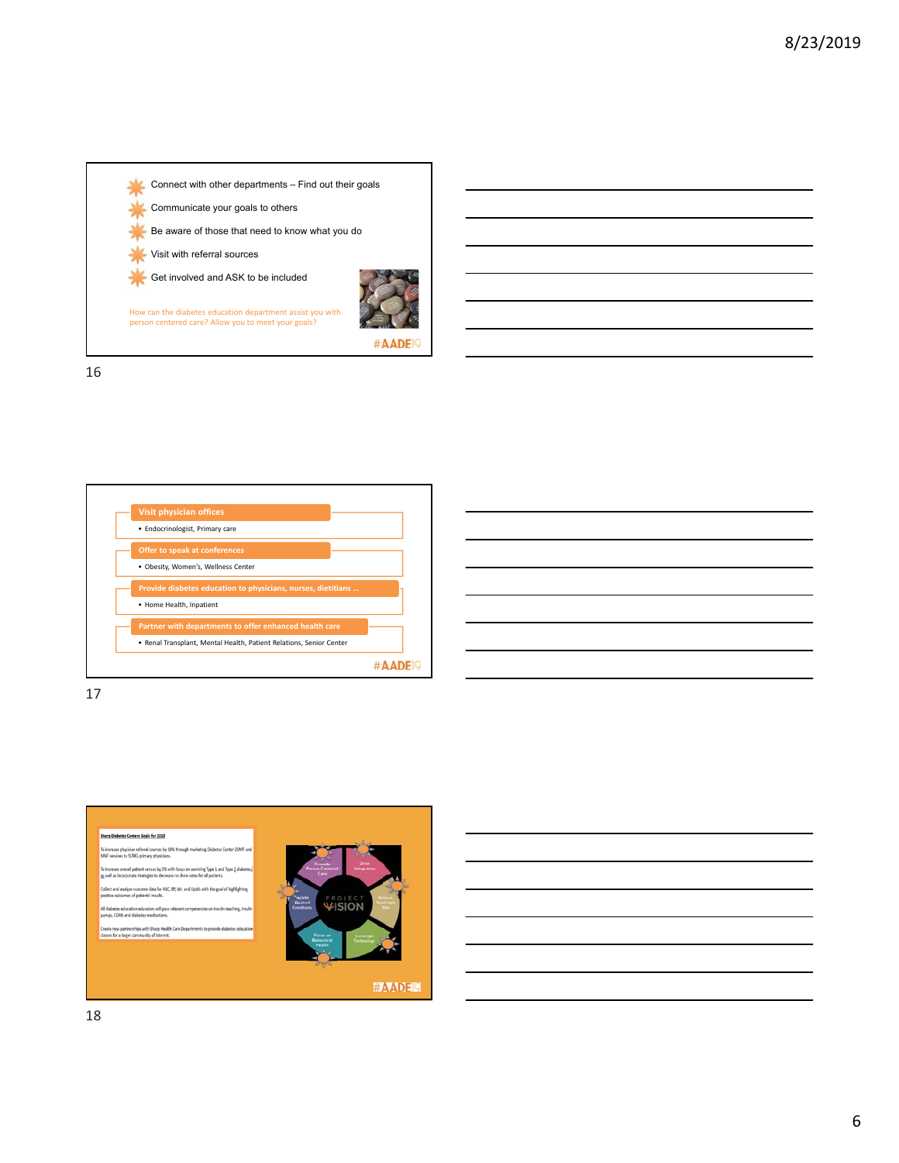

16





17